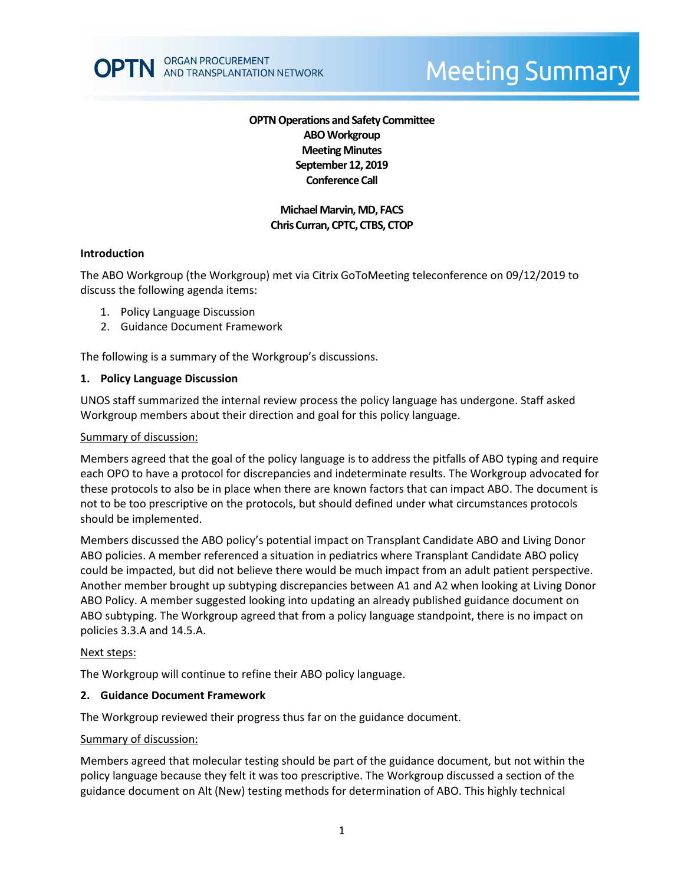## **OPTN Operations and Safety Committee ABO Workgroup Meeting Minutes September 12, 2019 Conference Call**

# **Michael Marvin, MD, FACS Chris Curran, CPTC, CTBS, CTOP**

### **Introduction**

The ABO Workgroup (the Workgroup) met via Citrix GoToMeeting teleconference on 09/12/2019 to discuss the following agenda items:

- 1. Policy Language Discussion
- 2. Guidance Document Framework

The following is a summary of the Workgroup's discussions.

### **1. Policy Language Discussion**

UNOS staff summarized the internal review process the policy language has undergone. Staff asked Workgroup members about their direction and goal for this policy language.

#### Summary of discussion:

Members agreed that the goal of the policy language is to address the pitfalls of ABO typing and require each OPO to have a protocol for discrepancies and indeterminate results. The Workgroup advocated for these protocols to also be in place when there are known factors that can impact ABO. The document is not to be too prescriptive on the protocols, but should defined under what circumstances protocols should be implemented.

Members discussed the ABO policy's potential impact on Transplant Candidate ABO and Living Donor ABO policies. A member referenced a situation in pediatrics where Transplant Candidate ABO policy could be impacted, but did not believe there would be much impact from an adult patient perspective. Another member brought up subtyping discrepancies between A1 and A2 when looking at Living Donor ABO Policy. A member suggested looking into updating an already published guidance document on ABO subtyping. The Workgroup agreed that from a policy language standpoint, there is no impact on policies 3.3.A and 14.5.A.

#### Next steps:

The Workgroup will continue to refine their ABO policy language.

#### **2. Guidance Document Framework**

The Workgroup reviewed their progress thus far on the guidance document.

#### Summary of discussion:

Members agreed that molecular testing should be part of the guidance document, but not within the policy language because they felt it was too prescriptive. The Workgroup discussed a section of the guidance document on Alt (New) testing methods for determination of ABO. This highly technical